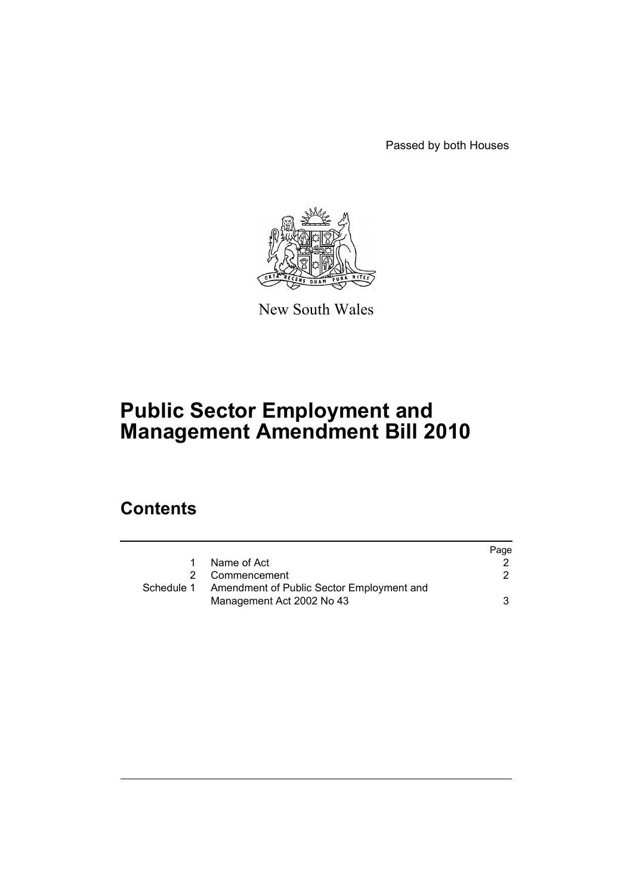Passed by both Houses



New South Wales

# **Public Sector Employment and Management Amendment Bill 2010**

## **Contents**

|            |                                                                        | Page |
|------------|------------------------------------------------------------------------|------|
|            | Name of Act                                                            |      |
|            | Commencement                                                           |      |
| Schedule 1 | Amendment of Public Sector Employment and<br>Management Act 2002 No 43 |      |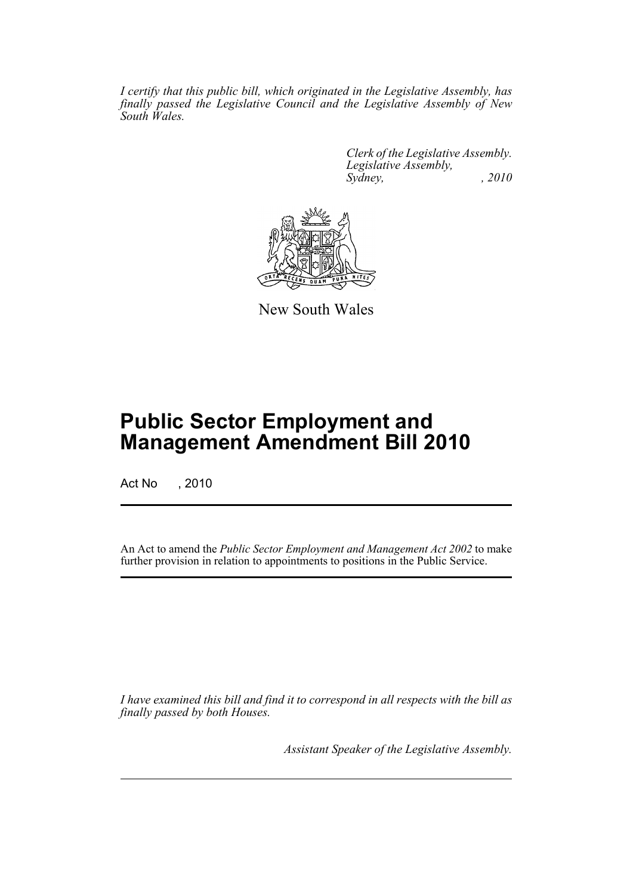*I certify that this public bill, which originated in the Legislative Assembly, has finally passed the Legislative Council and the Legislative Assembly of New South Wales.*

> *Clerk of the Legislative Assembly. Legislative Assembly, Sydney, , 2010*



New South Wales

## **Public Sector Employment and Management Amendment Bill 2010**

Act No , 2010

An Act to amend the *Public Sector Employment and Management Act 2002* to make further provision in relation to appointments to positions in the Public Service.

*I have examined this bill and find it to correspond in all respects with the bill as finally passed by both Houses.*

*Assistant Speaker of the Legislative Assembly.*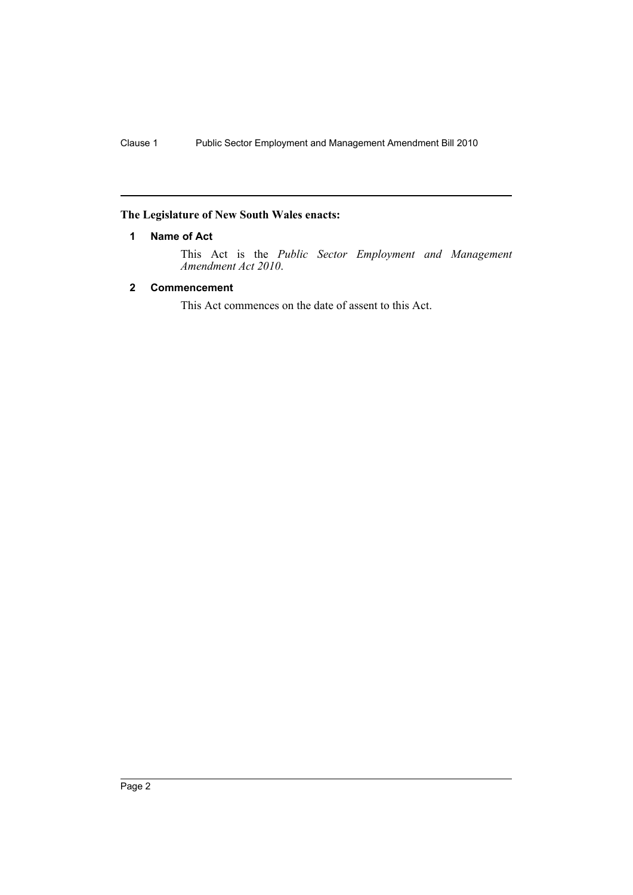### <span id="page-3-0"></span>**The Legislature of New South Wales enacts:**

#### **1 Name of Act**

This Act is the *Public Sector Employment and Management Amendment Act 2010*.

#### <span id="page-3-1"></span>**2 Commencement**

This Act commences on the date of assent to this Act.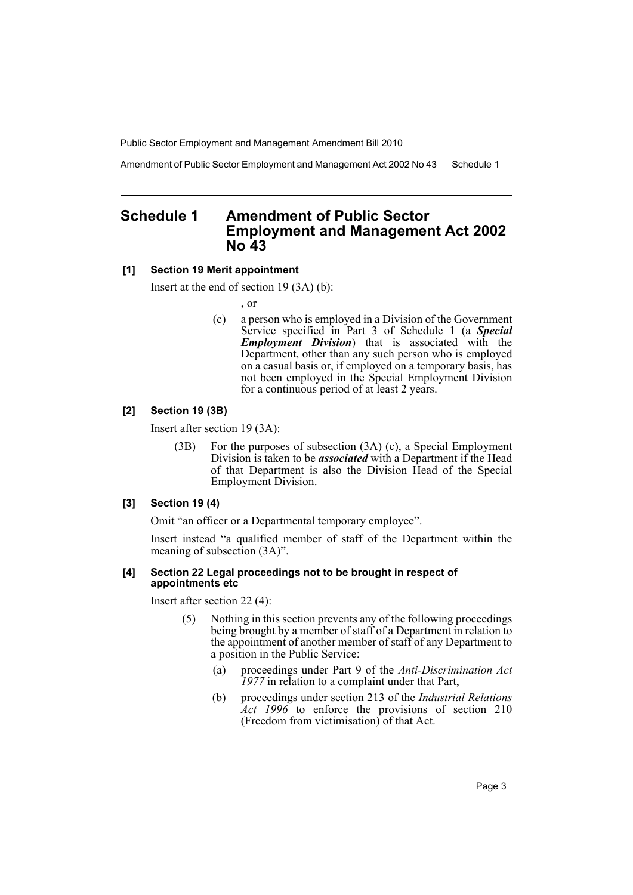Public Sector Employment and Management Amendment Bill 2010

Amendment of Public Sector Employment and Management Act 2002 No 43 Schedule 1

## <span id="page-4-0"></span>**Schedule 1 Amendment of Public Sector Employment and Management Act 2002 No 43**

#### **[1] Section 19 Merit appointment**

Insert at the end of section 19 (3A) (b):

, or

(c) a person who is employed in a Division of the Government Service specified in Part 3 of Schedule 1 (a *Special Employment Division*) that is associated with the Department, other than any such person who is employed on a casual basis or, if employed on a temporary basis, has not been employed in the Special Employment Division for a continuous period of at least 2 years.

#### **[2] Section 19 (3B)**

Insert after section 19 (3A):

(3B) For the purposes of subsection (3A) (c), a Special Employment Division is taken to be *associated* with a Department if the Head of that Department is also the Division Head of the Special Employment Division.

#### **[3] Section 19 (4)**

Omit "an officer or a Departmental temporary employee".

Insert instead "a qualified member of staff of the Department within the meaning of subsection (3A)".

#### **[4] Section 22 Legal proceedings not to be brought in respect of appointments etc**

Insert after section 22 (4):

- (5) Nothing in this section prevents any of the following proceedings being brought by a member of staff of a Department in relation to the appointment of another member of staff of any Department to a position in the Public Service:
	- (a) proceedings under Part 9 of the *Anti-Discrimination Act 1977* in relation to a complaint under that Part,
	- (b) proceedings under section 213 of the *Industrial Relations Act 1996* to enforce the provisions of section 210 (Freedom from victimisation) of that Act.